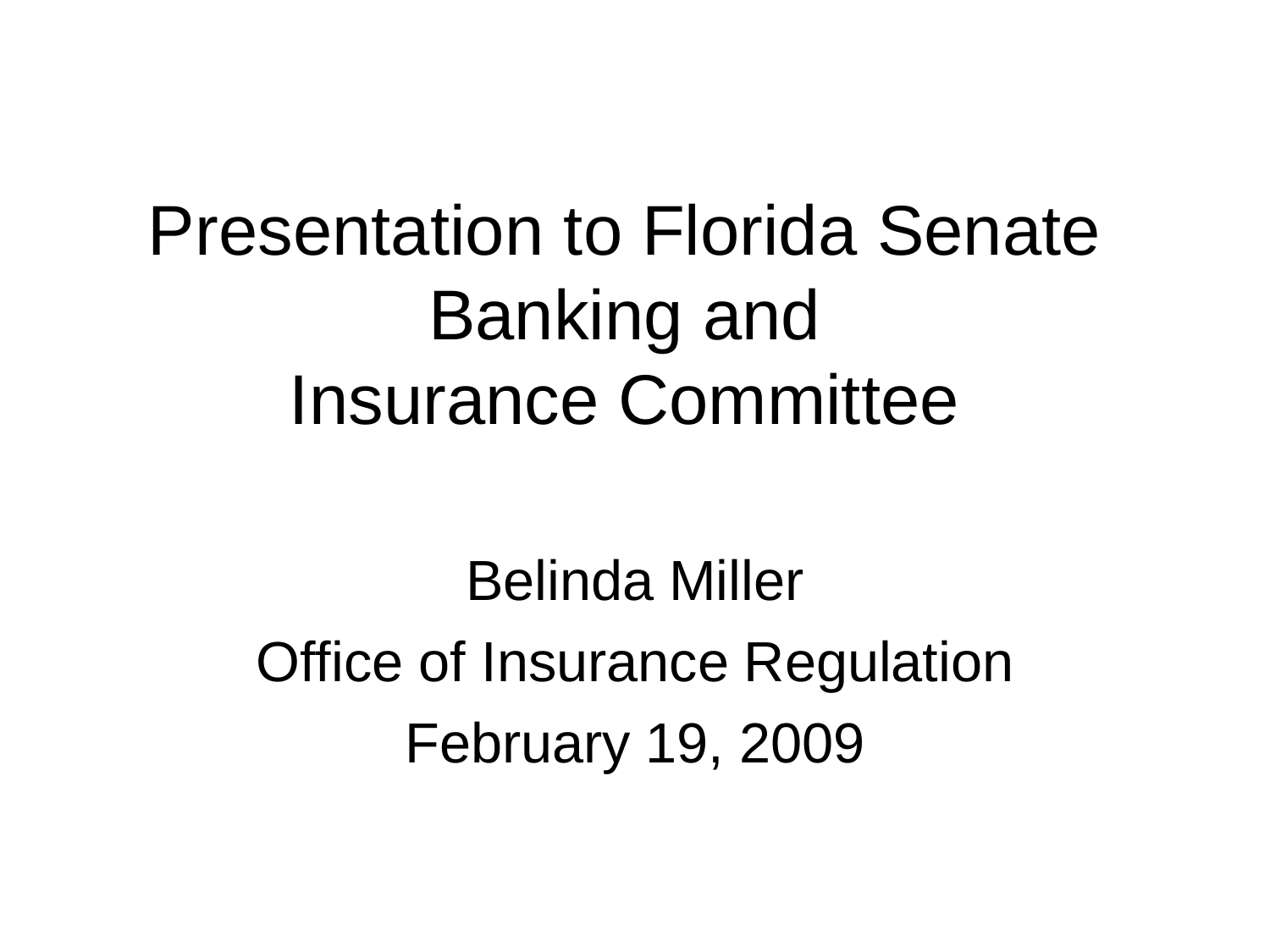## Presentation to Florida Senate Banking and Insurance Committee

Belinda Miller Office of Insurance Regulation February 19, 2009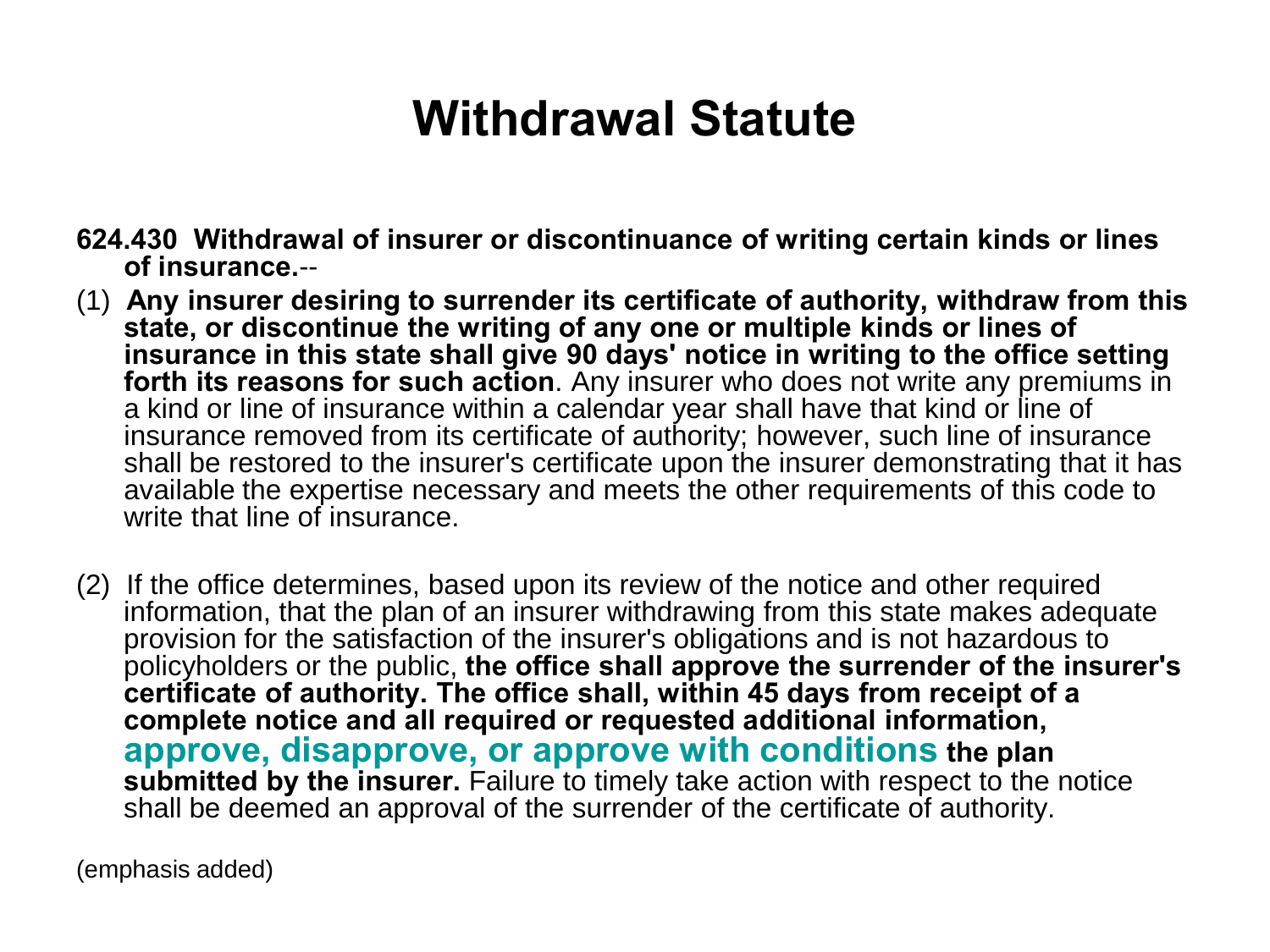## **Withdrawal Statute**

- **624.430 Withdrawal of insurer or discontinuance of writing certain kinds or lines of insurance.**--
- (1) **Any insurer desiring to surrender its certificate of authority, withdraw from this**  state, or discontinue the writing of any one or multiple kinds or lines of **insurance in this state shall give 90 days' notice in writing to the office setting forth its reasons for such action**. Any insurer who does not write any premiums in a kind or line of insurance within a calendar year shall have that kind or line of insurance removed from its certificate of authority; however, such line of insurance shall be restored to the insurer's certificate upon the insurer demonstrating that it has available the expertise necessary and meets the other requirements of this code to write that line of insurance.
- (2) If the office determines, based upon its review of the notice and other required information, that the plan of an insurer withdrawing from this state makes adequate provision for the satisfaction of the insurer's obligations and is not hazardous to policyholders or the public, **the office shall approve the surrender of the insurer's certificate of authority. The office shall, within 45 days from receipt of a complete notice and all required or requested additional information, approve, disapprove, or approve with conditions the plan**  submitted by the insurer. Failure to timely take action with respect to the notice shall be deemed an approval of the surrender of the certificate of authority.

(emphasis added)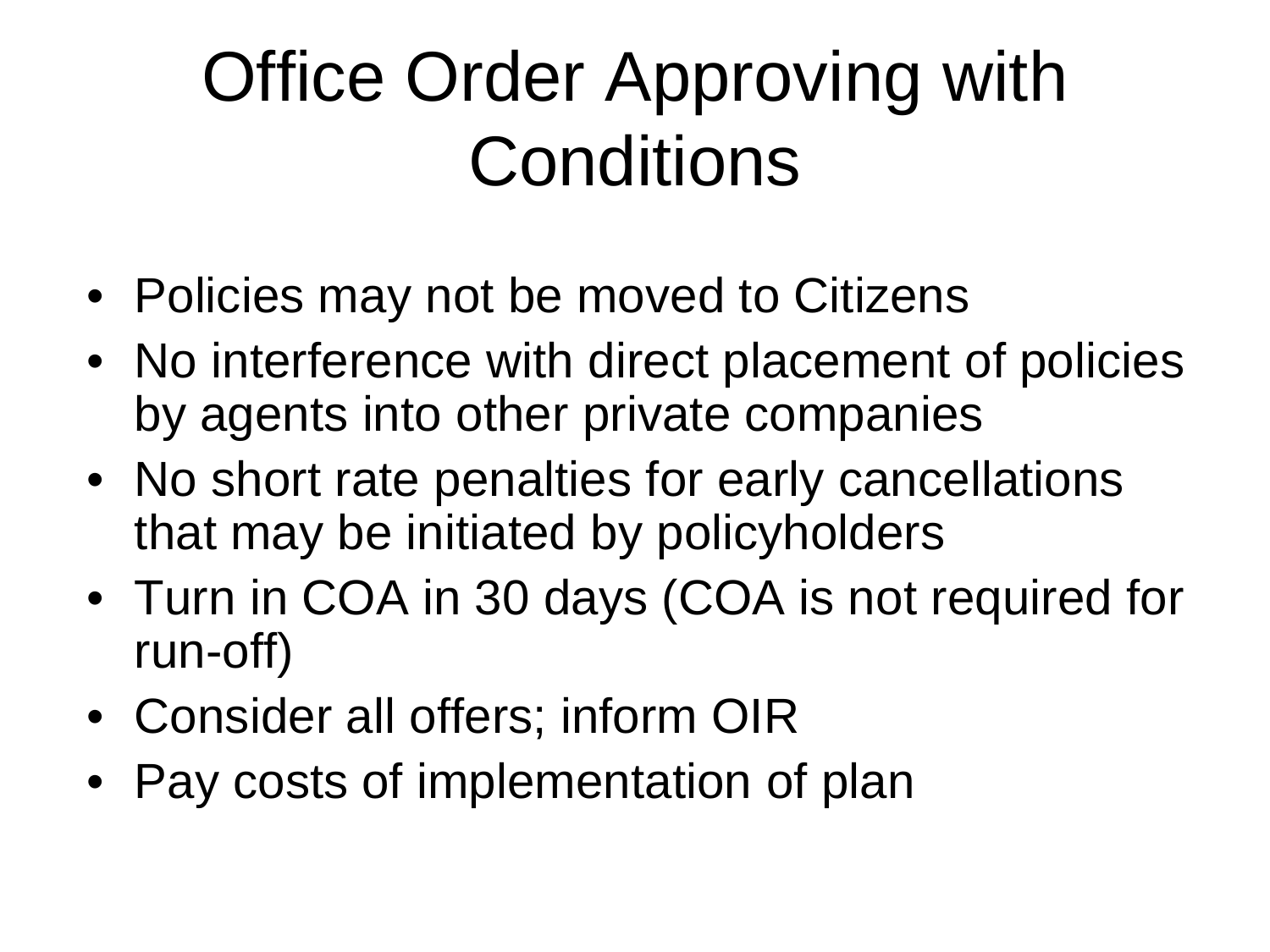# Office Order Approving with **Conditions**

- Policies may not be moved to Citizens
- No interference with direct placement of policies by agents into other private companies
- No short rate penalties for early cancellations that may be initiated by policyholders
- Turn in COA in 30 days (COA is not required for run-off)
- Consider all offers; inform OIR
- Pay costs of implementation of plan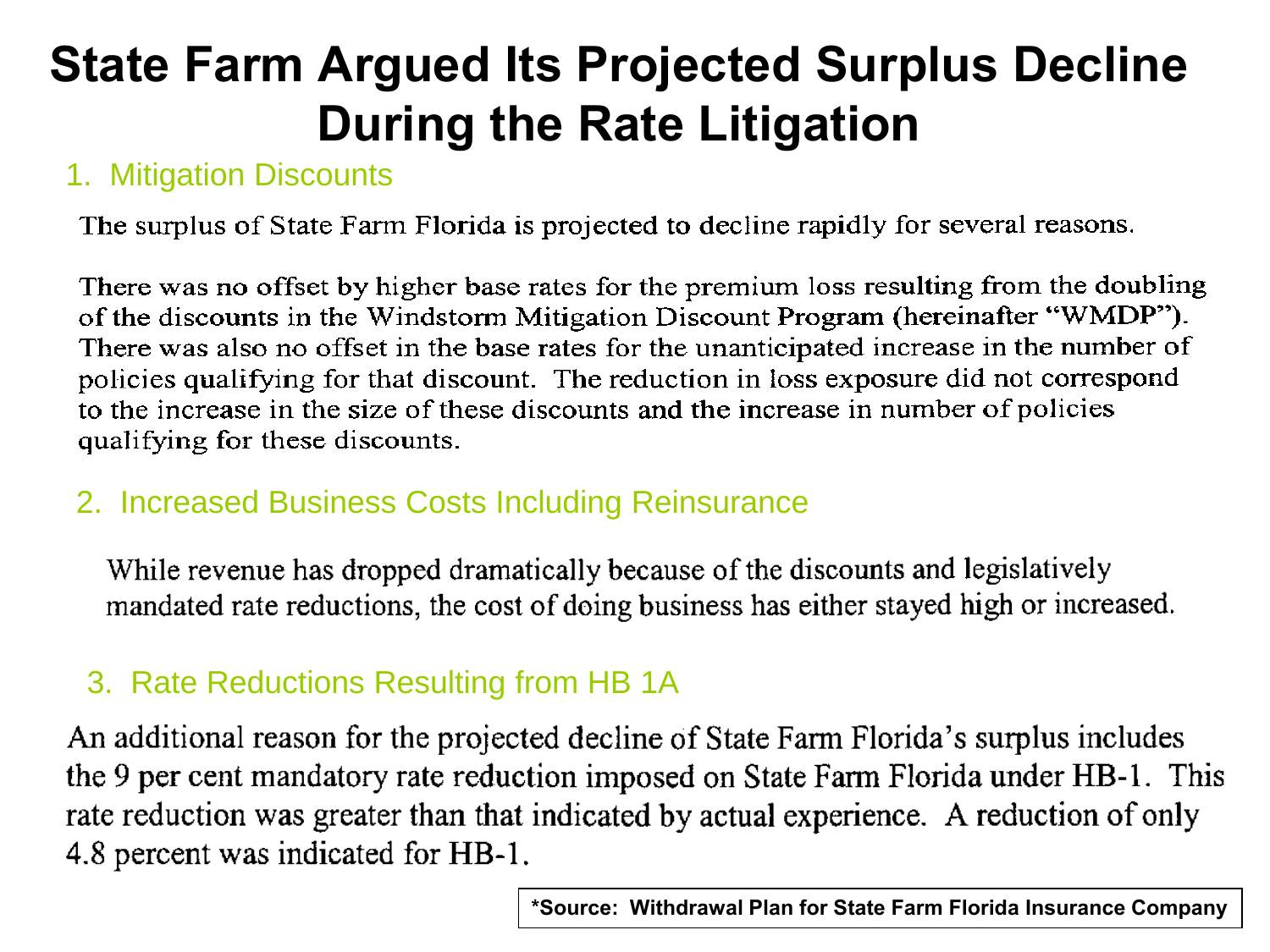## **State Farm Argued Its Projected Surplus Decline During the Rate Litigation**

### 1. Mitigation Discounts

The surplus of State Farm Florida is projected to decline rapidly for several reasons.

There was no offset by higher base rates for the premium loss resulting from the doubling of the discounts in the Windstorm Mitigation Discount Program (hereinafter "WMDP"). There was also no offset in the base rates for the unanticipated increase in the number of policies qualifying for that discount. The reduction in loss exposure did not correspond to the increase in the size of these discounts and the increase in number of policies qualifying for these discounts.

### 2. Increased Business Costs Including Reinsurance

While revenue has dropped dramatically because of the discounts and legislatively mandated rate reductions, the cost of doing business has either stayed high or increased.

### 3. Rate Reductions Resulting from HB 1A

An additional reason for the projected decline of State Farm Florida's surplus includes the 9 per cent mandatory rate reduction imposed on State Farm Florida under HB-1. This rate reduction was greater than that indicated by actual experience. A reduction of only 4.8 percent was indicated for HB-1.

**\*Source: Withdrawal Plan for State Farm Florida Insurance Company**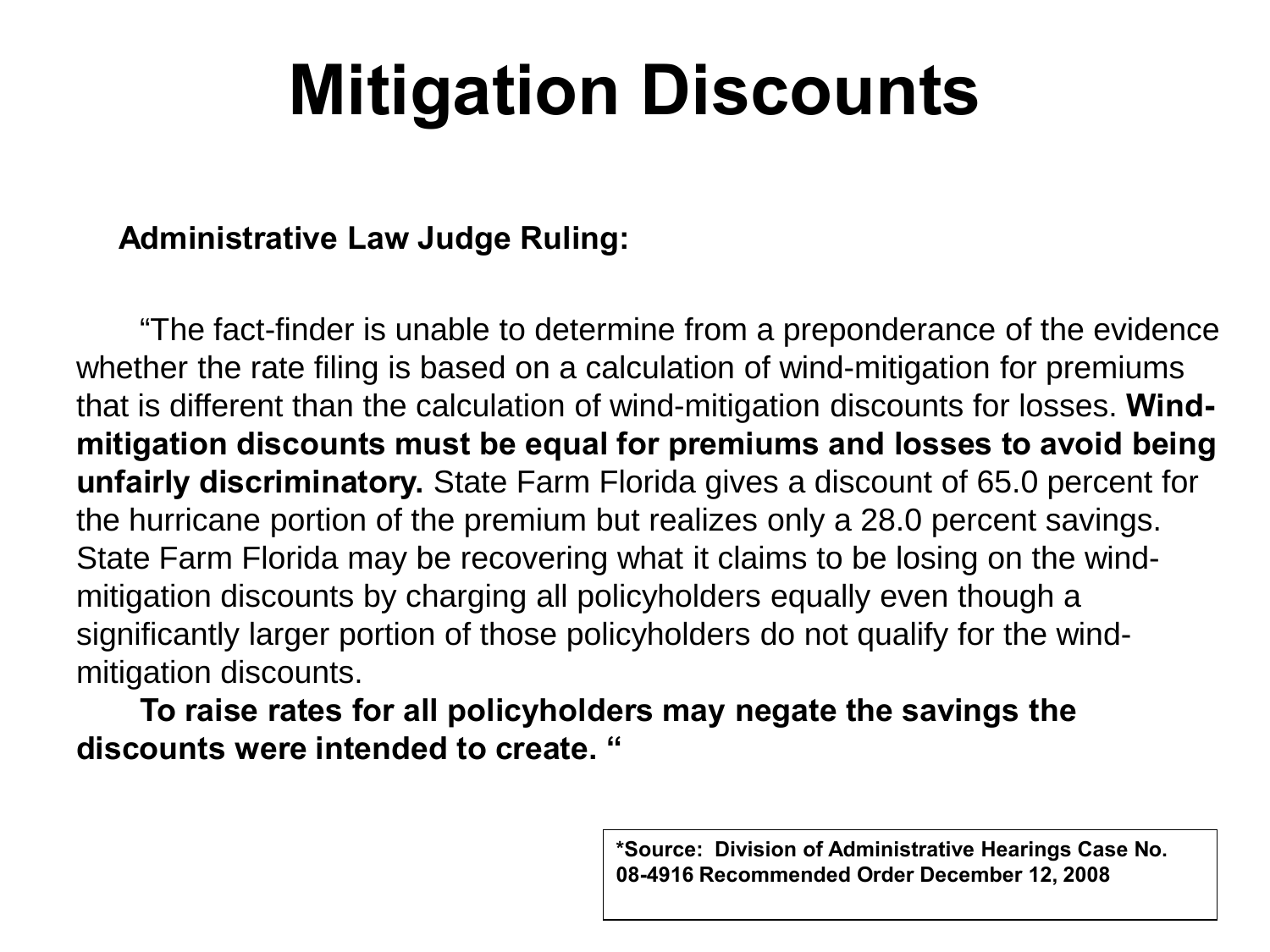# **Mitigation Discounts**

### **Administrative Law Judge Ruling:**

"The fact-finder is unable to determine from a preponderance of the evidence whether the rate filing is based on a calculation of wind-mitigation for premiums that is different than the calculation of wind-mitigation discounts for losses. **Windmitigation discounts must be equal for premiums and losses to avoid being unfairly discriminatory.** State Farm Florida gives a discount of 65.0 percent for the hurricane portion of the premium but realizes only a 28.0 percent savings. State Farm Florida may be recovering what it claims to be losing on the windmitigation discounts by charging all policyholders equally even though a significantly larger portion of those policyholders do not qualify for the windmitigation discounts.

**To raise rates for all policyholders may negate the savings the discounts were intended to create. "**

> **\*Source: Division of Administrative Hearings Case No. 08-4916 Recommended Order December 12, 2008**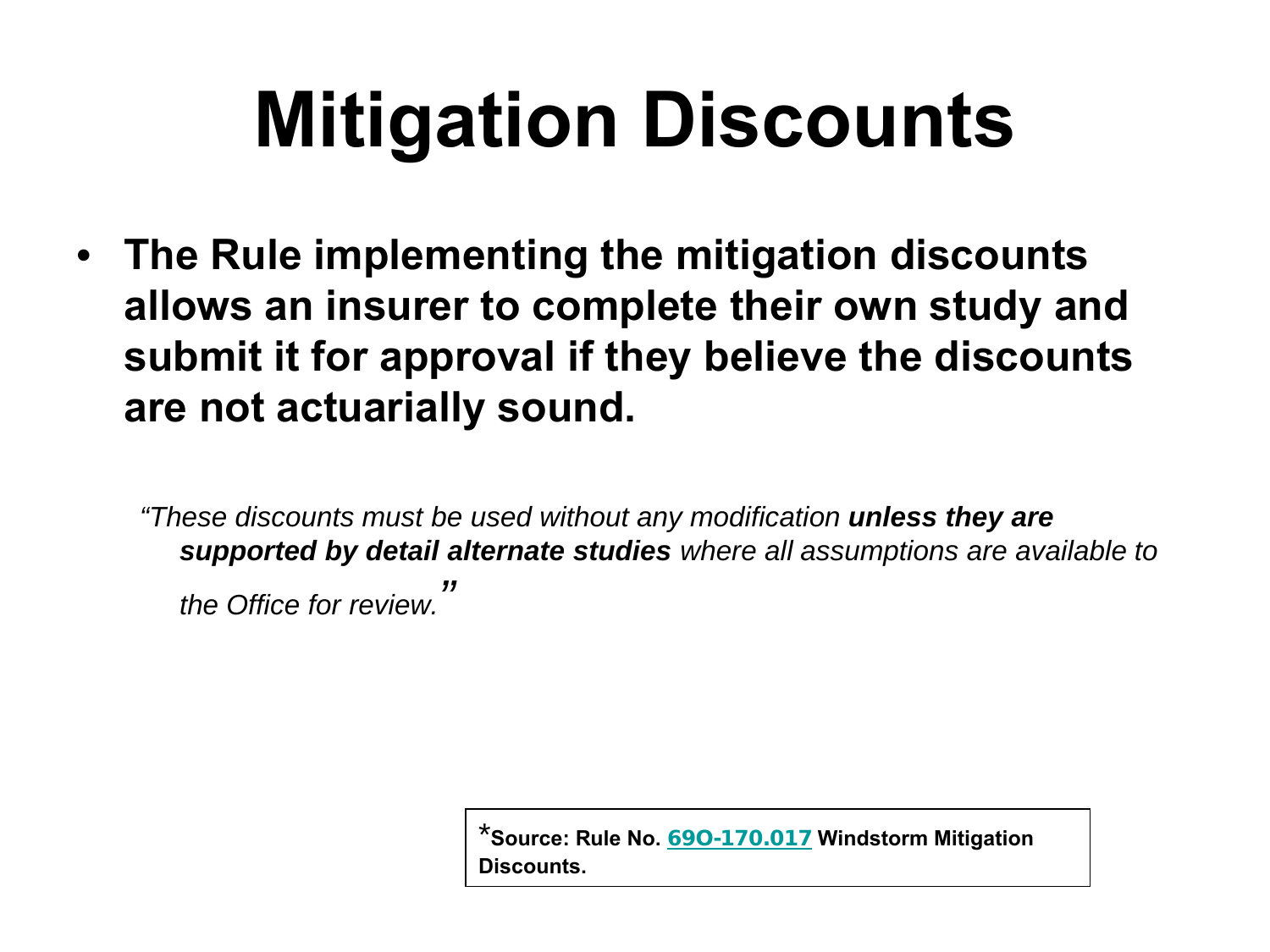# **Mitigation Discounts**

• **The Rule implementing the mitigation discounts allows an insurer to complete their own study and submit it for approval if they believe the discounts are not actuarially sound.** 

*"These discounts must be used without any modification unless they are supported by detail alternate studies where all assumptions are available to the Office for review. "*

> \***Source: Rule No.** [69O-170.017](http://www.flrules.com/gateway/ruleNo.asp?id=69O-170.017) **Windstorm Mitigation Discounts.**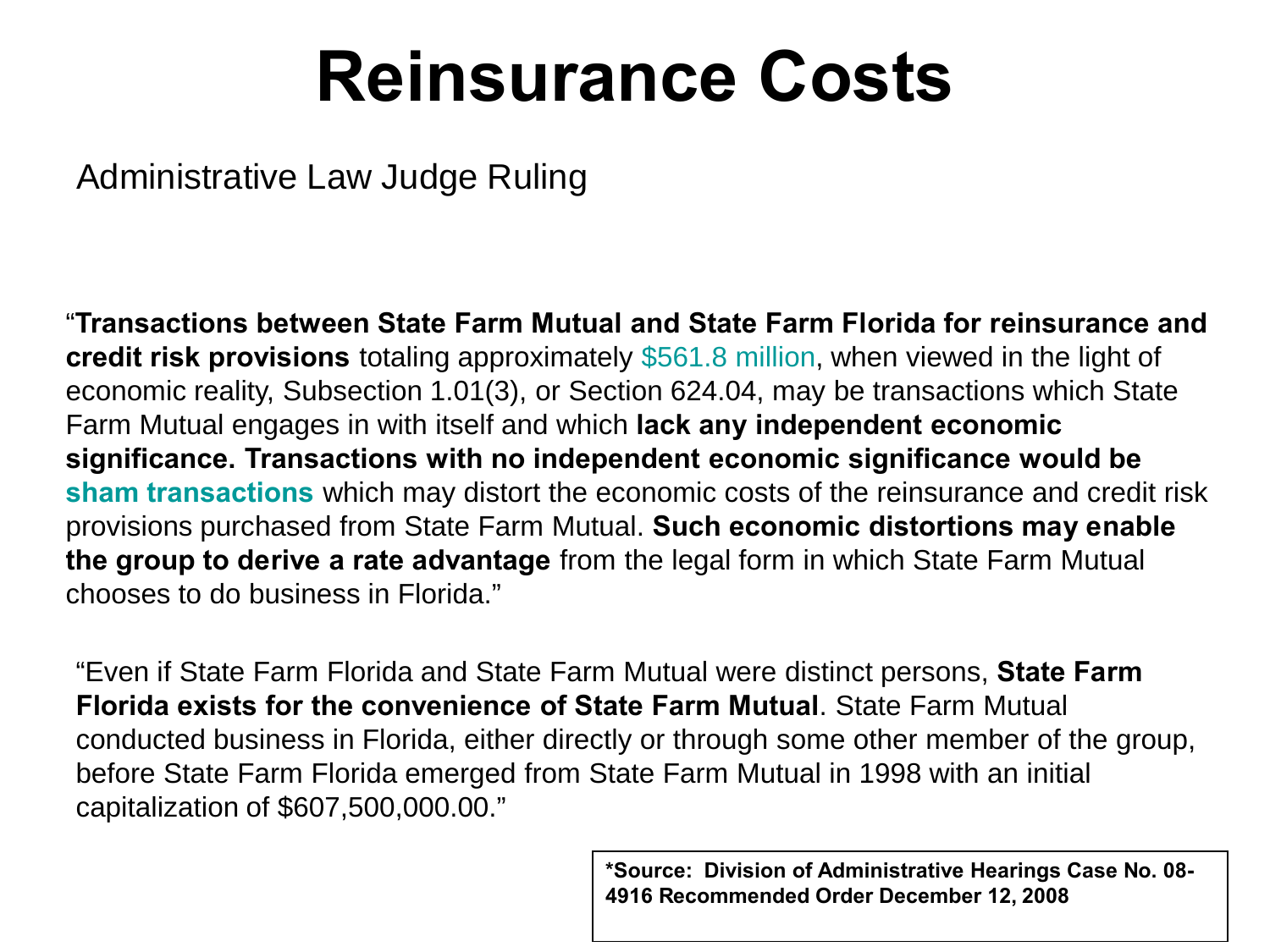## **Reinsurance Costs**

Administrative Law Judge Ruling

"**Transactions between State Farm Mutual and State Farm Florida for reinsurance and credit risk provisions** totaling approximately \$561.8 million, when viewed in the light of economic reality, Subsection 1.01(3), or Section 624.04, may be transactions which State Farm Mutual engages in with itself and which **lack any independent economic significance. Transactions with no independent economic significance would be sham transactions** which may distort the economic costs of the reinsurance and credit risk provisions purchased from State Farm Mutual. **Such economic distortions may enable the group to derive a rate advantage** from the legal form in which State Farm Mutual chooses to do business in Florida."

"Even if State Farm Florida and State Farm Mutual were distinct persons, **State Farm Florida exists for the convenience of State Farm Mutual**. State Farm Mutual conducted business in Florida, either directly or through some other member of the group, before State Farm Florida emerged from State Farm Mutual in 1998 with an initial capitalization of \$607,500,000.00."

> **\*Source: Division of Administrative Hearings Case No. 08- 4916 Recommended Order December 12, 2008**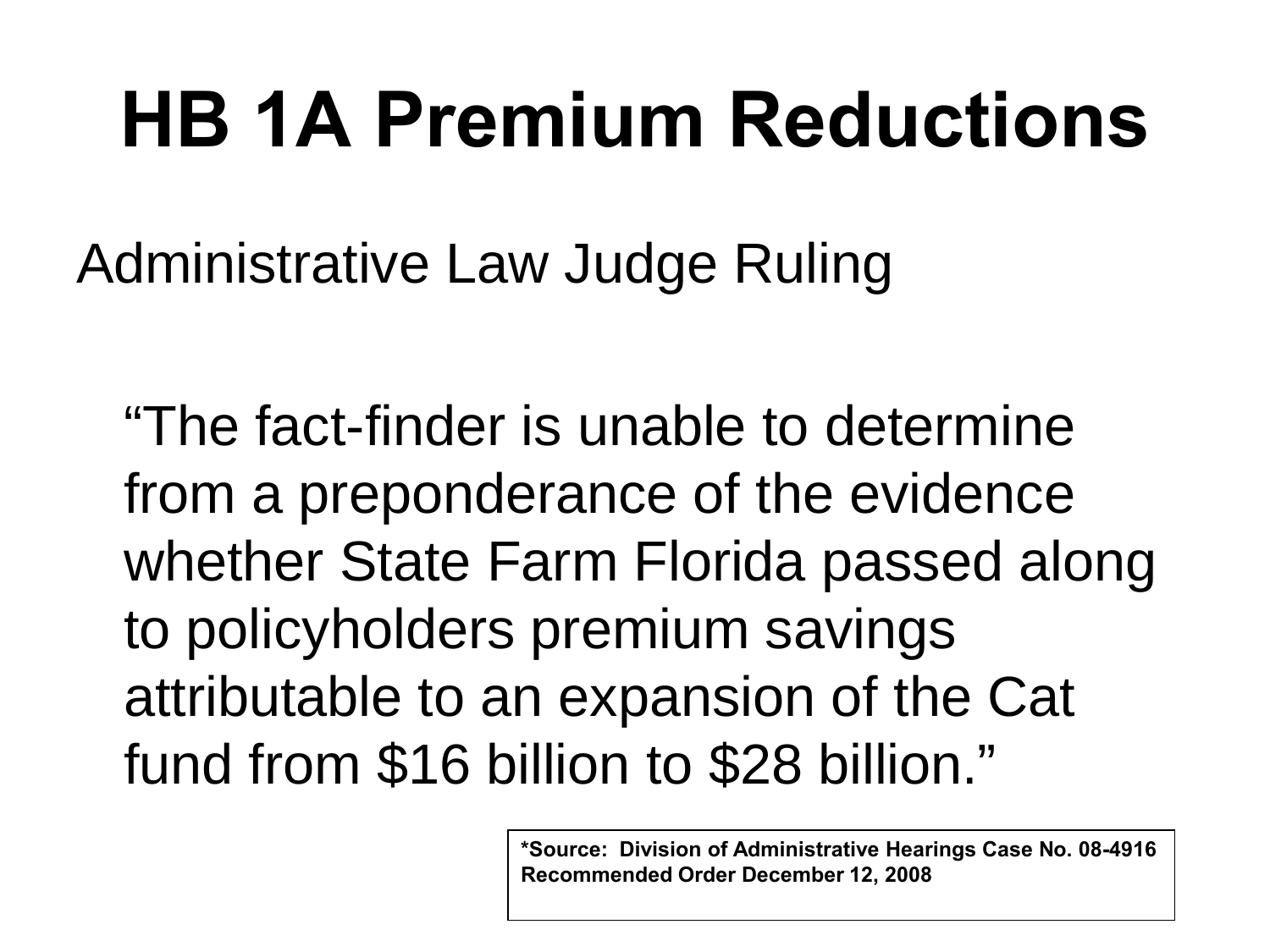# **HB 1A Premium Reductions**

Administrative Law Judge Ruling

"The fact-finder is unable to determine from a preponderance of the evidence whether State Farm Florida passed along to policyholders premium savings attributable to an expansion of the Cat fund from \$16 billion to \$28 billion."

> **\*Source: Division of Administrative Hearings Case No. 08-4916 Recommended Order December 12, 2008**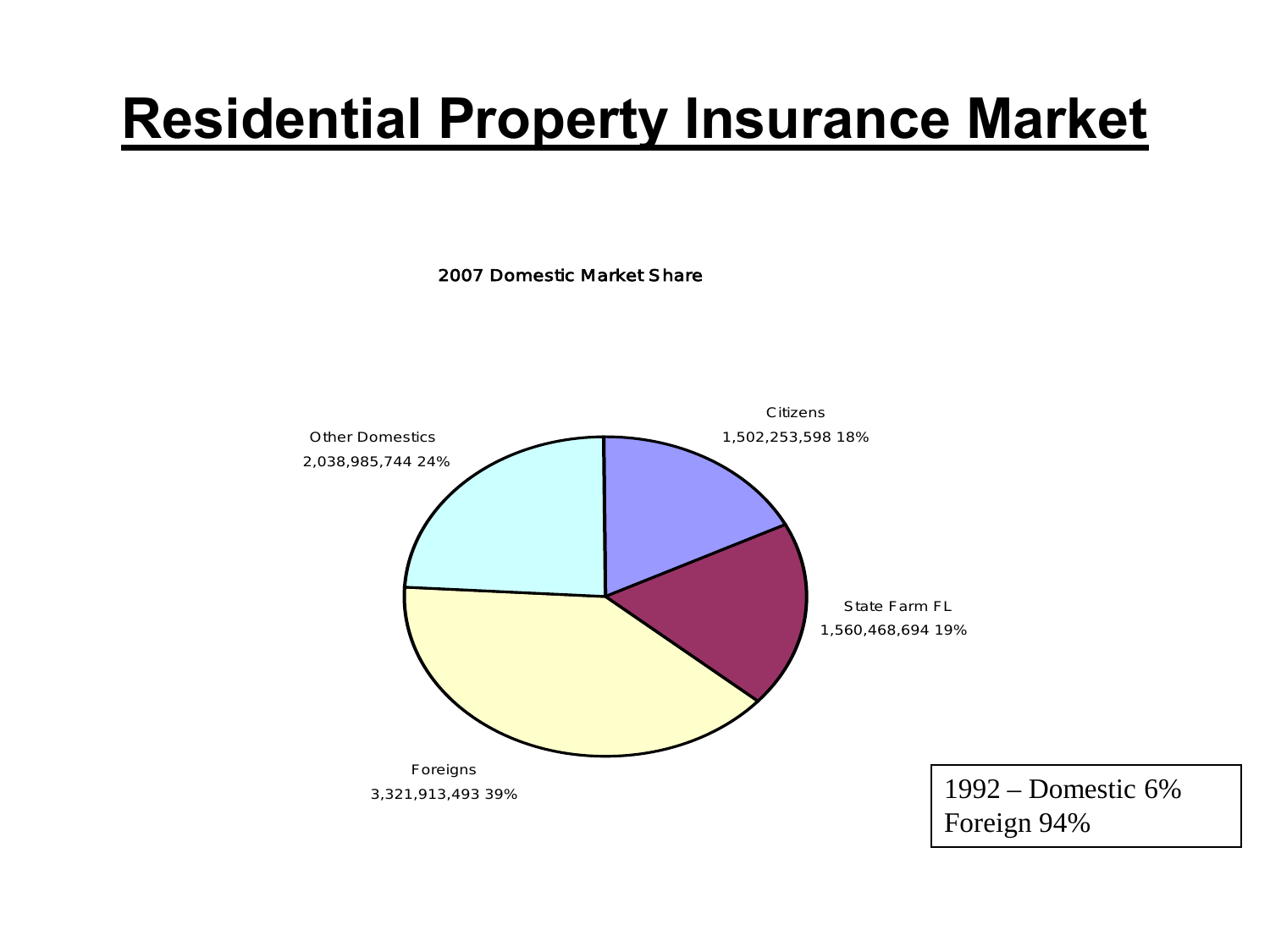## **Residential Property Insurance Market**

2007 Domestic Market Share

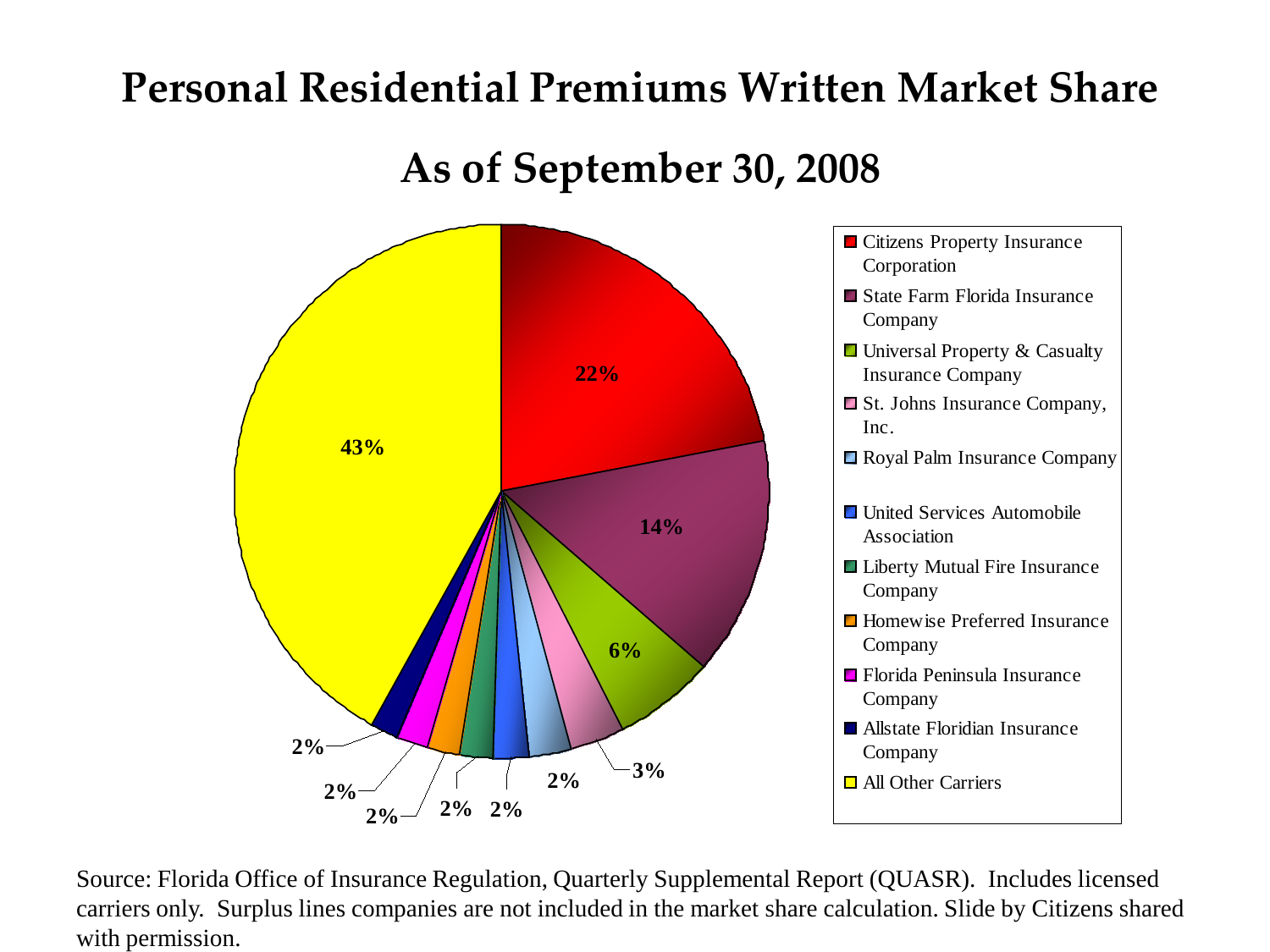### **Personal Residential Premiums Written Market Share**

**As of September 30, 2008**



Source: Florida Office of Insurance Regulation, Quarterly Supplemental Report (QUASR). Includes licensed carriers only. Surplus lines companies are not included in the market share calculation. Slide by Citizens shared with permission.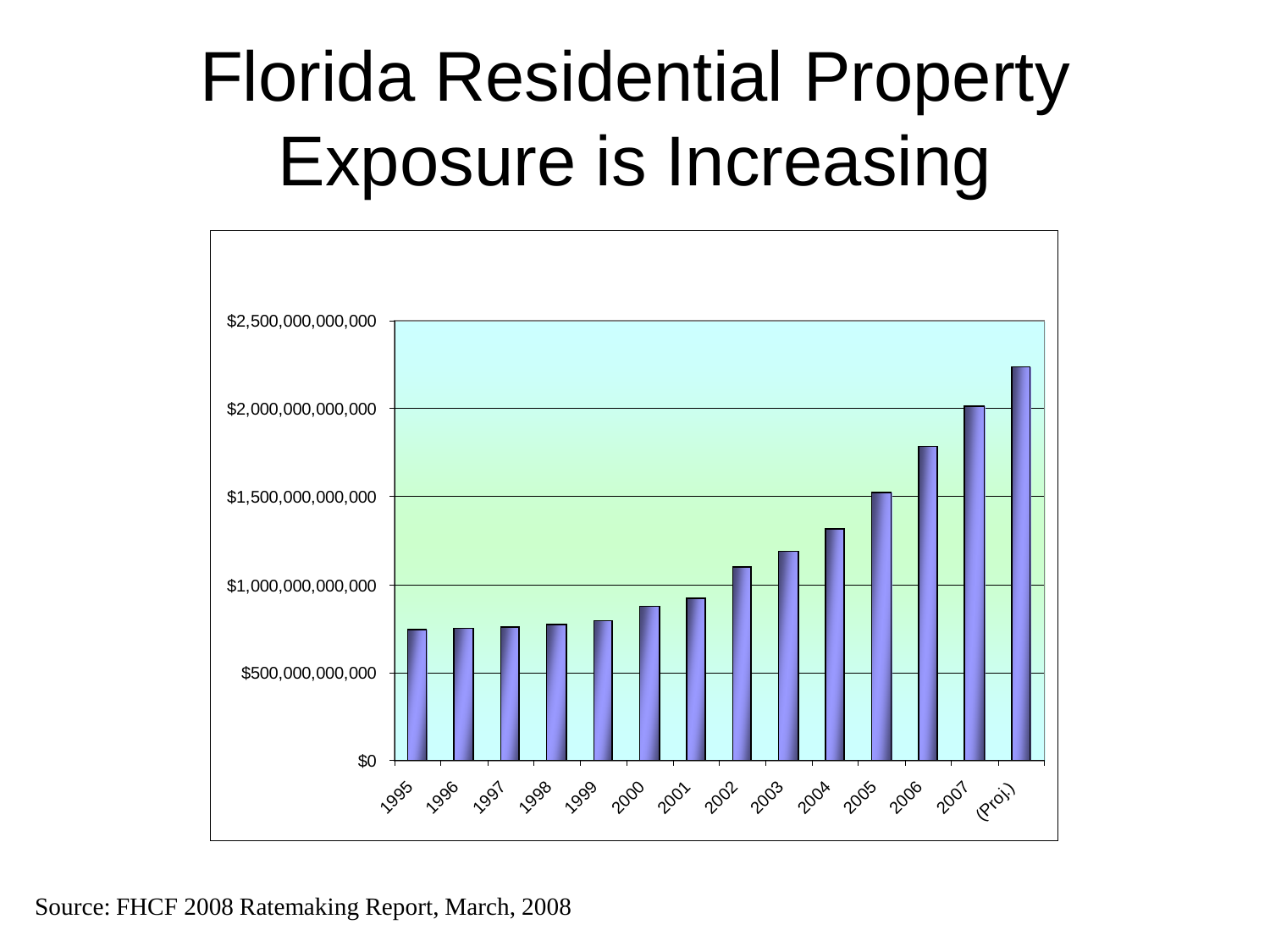# Florida Residential Property Exposure is Increasing



Source: FHCF 2008 Ratemaking Report, March, 2008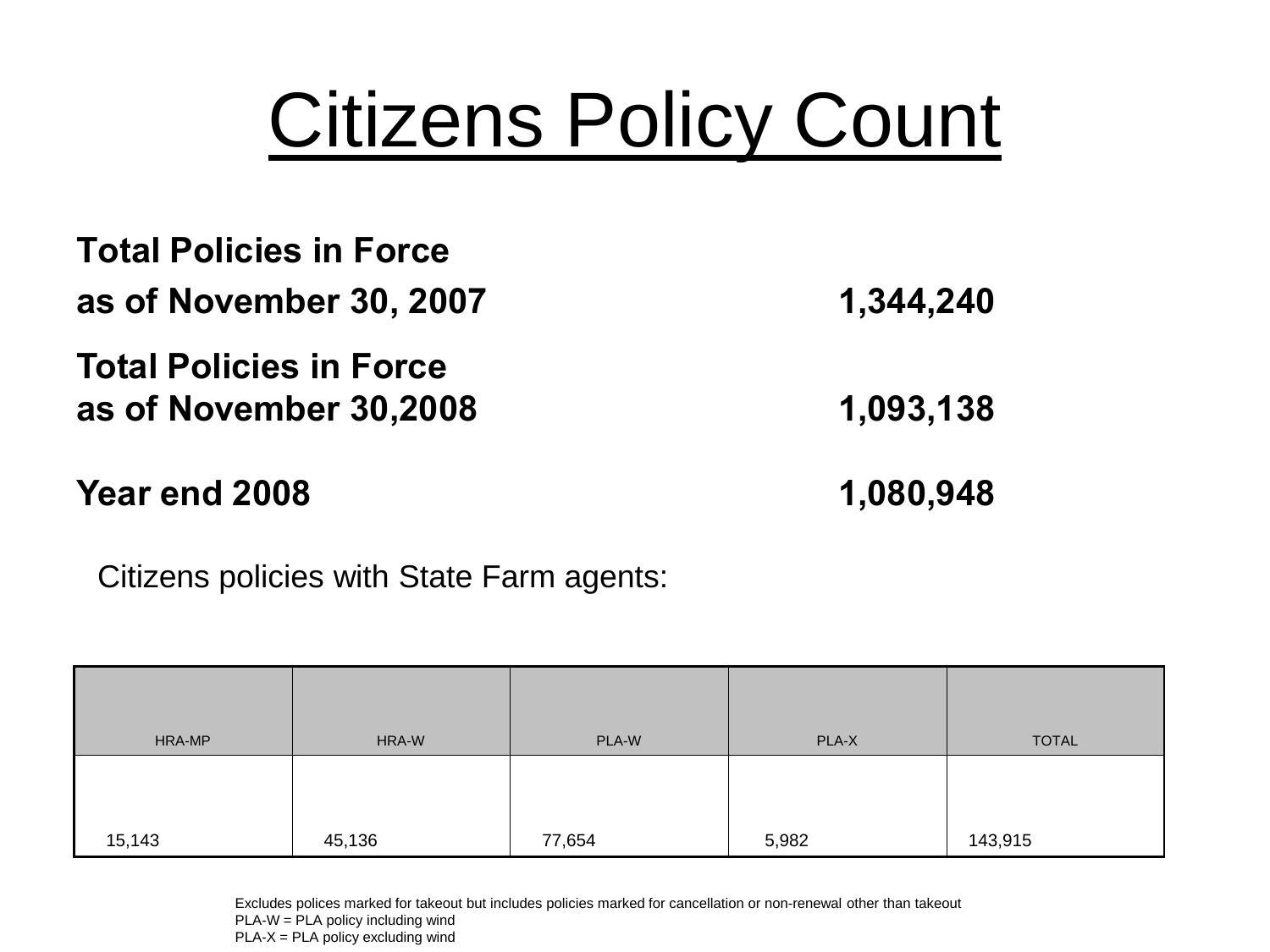# Citizens Policy Count

| <b>Total Policies in Force</b> |           |
|--------------------------------|-----------|
| as of November 30, 2007        | 1,344,240 |
| <b>Total Policies in Force</b> |           |
| as of November 30,2008         | 1,093,138 |
| Year end 2008                  | 1,080,948 |

Citizens policies with State Farm agents:

| HRA-MP | HRA-W  | PLA-W  | PLA-X | <b>TOTAL</b> |
|--------|--------|--------|-------|--------------|
| 15,143 | 45,136 | 77,654 | 5,982 | 143,915      |

Excludes polices marked for takeout but includes policies marked for cancellation or non-renewal other than takeout PLA-W = PLA policy including wind  $PLA-X = PLA$  policy excluding wind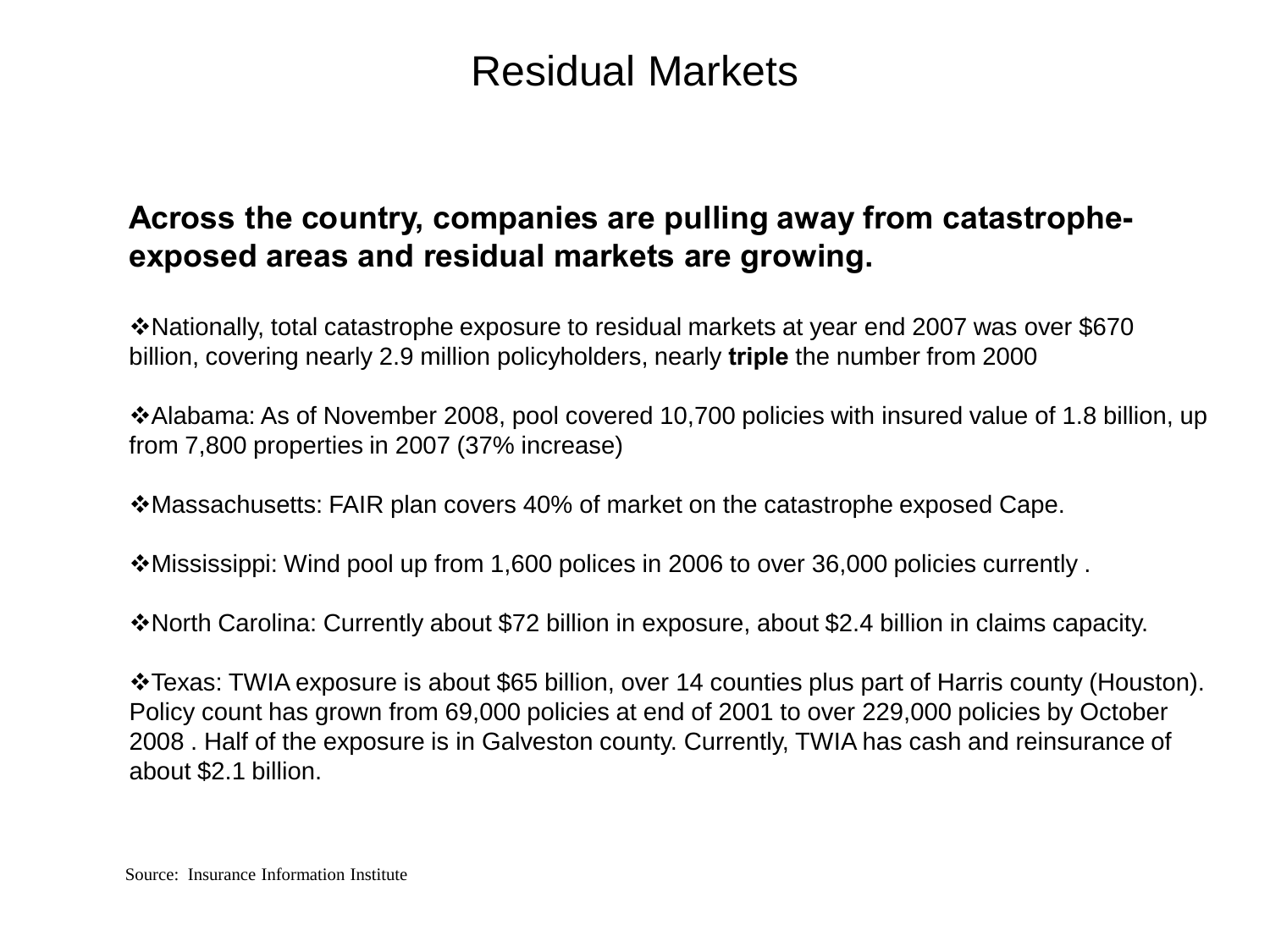### Residual Markets

### **Across the country, companies are pulling away from catastropheexposed areas and residual markets are growing.**

Nationally, total catastrophe exposure to residual markets at year end 2007 was over \$670 billion, covering nearly 2.9 million policyholders, nearly **triple** the number from 2000

Alabama: As of November 2008, pool covered 10,700 policies with insured value of 1.8 billion, up from 7,800 properties in 2007 (37% increase)

Massachusetts: FAIR plan covers 40% of market on the catastrophe exposed Cape.

Mississippi: Wind pool up from 1,600 polices in 2006 to over 36,000 policies currently .

North Carolina: Currently about \$72 billion in exposure, about \$2.4 billion in claims capacity.

Texas: TWIA exposure is about \$65 billion, over 14 counties plus part of Harris county (Houston). Policy count has grown from 69,000 policies at end of 2001 to over 229,000 policies by October 2008 . Half of the exposure is in Galveston county. Currently, TWIA has cash and reinsurance of about \$2.1 billion.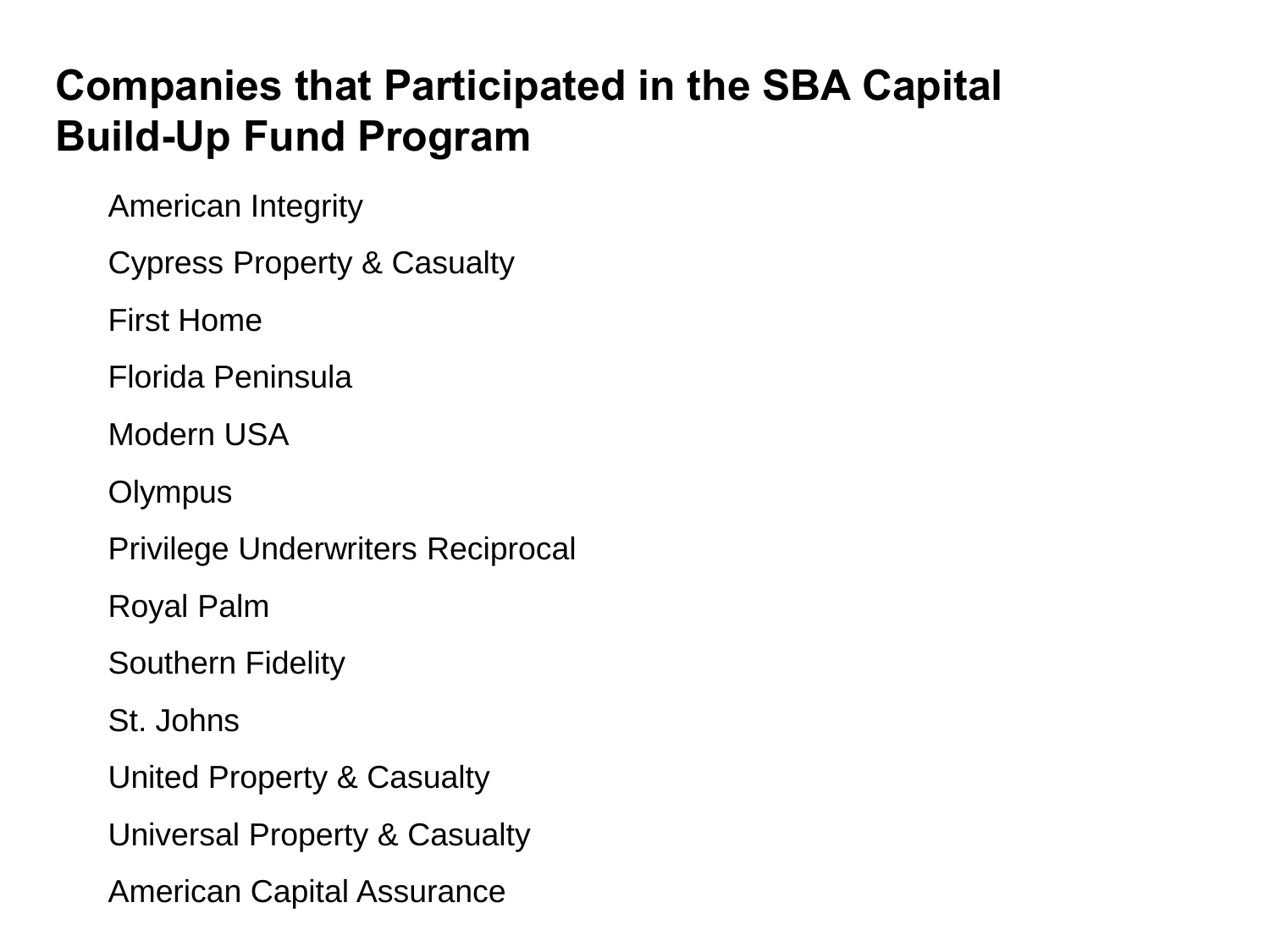### **Companies that Participated in the SBA Capital Build-Up Fund Program**

American Integrity

Cypress Property & Casualty

First Home

Florida Peninsula

Modern USA

**Olympus** 

Privilege Underwriters Reciprocal

Royal Palm

Southern Fidelity

St. Johns

United Property & Casualty

Universal Property & Casualty

American Capital Assurance